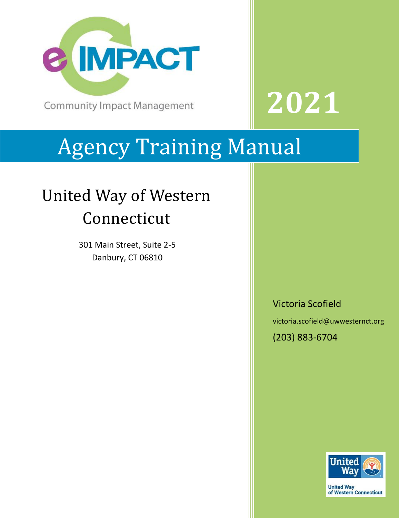

**Community Impact Management** 

# Agency Training Manual

## United Way of Western Connecticut

301 Main Street, Suite 2-5 Danbury, CT 06810

Victoria Scofield

**2021**

victoria.scofield@uwwesternct.org

(203) 883-6704



**United Way** of Western Connecticut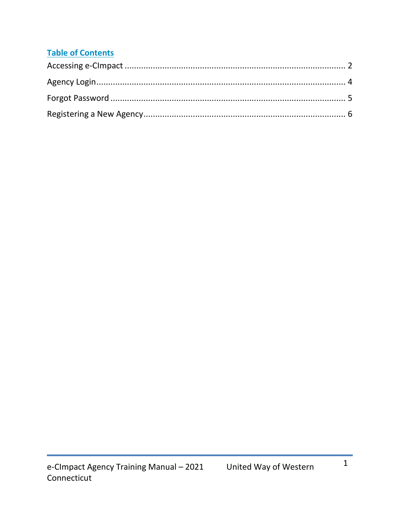#### **Table of Contents**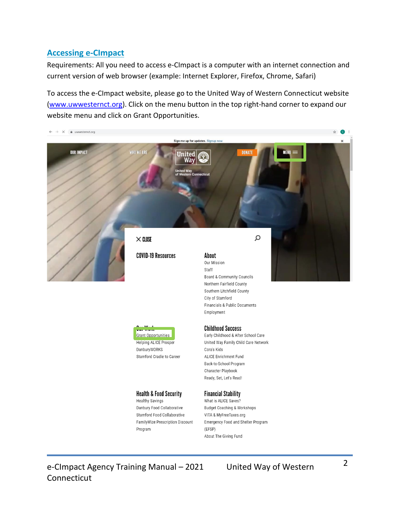#### <span id="page-2-0"></span>**Accessing e-CImpact**

Requirements: All you need to access e-CImpact is a computer with an internet connection and current version of web browser (example: Internet Explorer, Firefox, Chrome, Safari)

To access the e-CImpact website, please go to the United Way of Western Connecticut website [\(www.uwwesternct.org\)](http://www.uwwesternct.org/). Click on the menu button in the top right-hand corner to expand our website menu and click on Grant Opportunities.



e-CImpact Agency Training Manual – 2021 United Way of Western Connecticut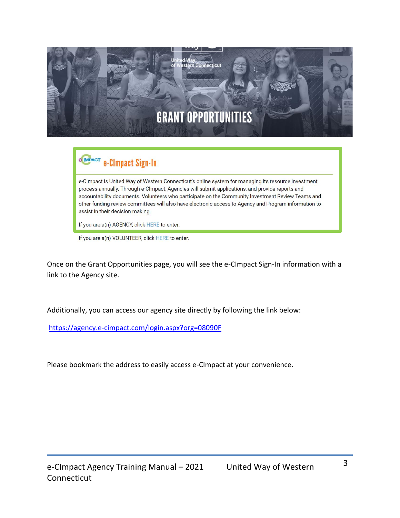

### **e IMPACT** e-CImpact Sign-In

e-CImpact is United Way of Western Connecticut's online system for managing its resource investment process annually. Through e-CImpact, Agencies will submit applications, and provide reports and accountability documents. Volunteers who participate on the Community Investment Review Teams and other funding review committees will also have electronic access to Agency and Program information to assist in their decision making.

If you are a(n) AGENCY, click HERE to enter.

If you are a(n) VOLUNTEER, click HERE to enter.

Once on the Grant Opportunities page, you will see the e-CImpact Sign-In information with a link to the Agency site.

Additionally, you can access our agency site directly by following the link below:

<https://agency.e-cimpact.com/login.aspx?org=08090F>

Please bookmark the address to easily access e-CImpact at your convenience.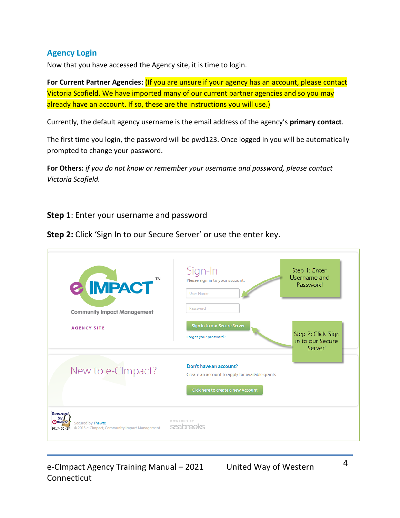#### <span id="page-4-0"></span>**Agency Login**

Now that you have accessed the Agency site, it is time to login.

**For Current Partner Agencies:** (If you are unsure if your agency has an account, please contact Victoria Scofield. We have imported many of our current partner agencies and so you may already have an account. If so, these are the instructions you will use.)

Currently, the default agency username is the email address of the agency's **primary contact**.

The first time you login, the password will be pwd123. Once logged in you will be automatically prompted to change your password.

**For Others:** *if you do not know or remember your username and password, please contact Victoria Scofield.*

**Step 1**: Enter your username and password

**Step 2:** Click 'Sign In to our Secure Server' or use the enter key.

| TM<br><b>&amp; IMPACT</b>                | Sign-In<br>Please sign in to your account.<br><b>User Name</b>            | Step 1: Enter<br>Username and<br>Password          |
|------------------------------------------|---------------------------------------------------------------------------|----------------------------------------------------|
| <b>Community Impact Management</b>       | Password                                                                  |                                                    |
| <b>AGENCY SITE</b>                       | Sign in to our Secure Server<br>Forgot your password?                     | Step 2: Click 'Sign<br>in to our Secure<br>Server' |
| New to e-CImpact?                        | Don't have an account?<br>Create an account to apply for available grants |                                                    |
| <b>Secured</b><br>by J<br><b>Othawte</b> | Click here to create a new Account<br>POWERED BY                          |                                                    |

e-CImpact Agency Training Manual – 2021 United Way of Western Connecticut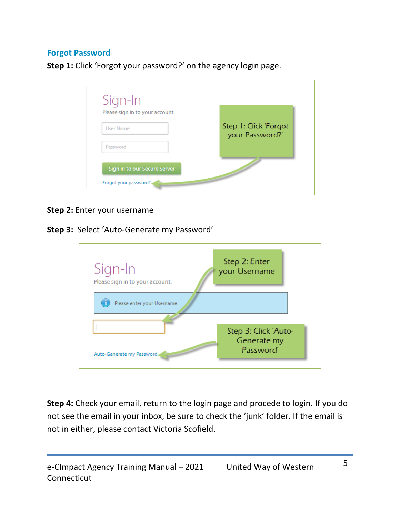#### <span id="page-5-0"></span>**Forgot Password**

**Step 1:** Click 'Forgot your password?' on the agency login page.



#### **Step 2:** Enter your username

#### **Step 3:** Select 'Auto-Generate my Password'



**Step 4:** Check your email, return to the login page and procede to login. If you do not see the email in your inbox, be sure to check the 'junk' folder. If the email is not in either, please contact Victoria Scofield.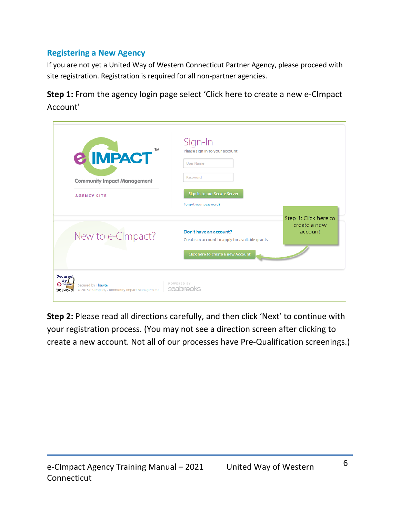#### <span id="page-6-0"></span>**Registering a New Agency**

If you are not yet a United Way of Western Connecticut Partner Agency, please proceed with site registration. Registration is required for all non-partner agencies.

**Step 1:** From the agency login page select 'Click here to create a new e-CImpact Account'

| TM<br><b>&amp; IMPACT</b><br><b>Community Impact Management</b><br><b>AGENCY SITE</b>                                        | Sign-In<br>Please sign in to your account.<br><b>User Name</b><br>Password<br>Sign in to our Secure Server<br>Forgot your password? |                                                  |
|------------------------------------------------------------------------------------------------------------------------------|-------------------------------------------------------------------------------------------------------------------------------------|--------------------------------------------------|
| New to e-CImpact?                                                                                                            | Don't have an account?<br>Create an account to apply for available grants<br>Click here to create a new Account                     | Step 1: Click here to<br>create a new<br>account |
| <b>Secured</b><br>by 1<br><b>Othawte</b><br>Secured by Thawte<br>@ 2013 e-CImpact, Community Impact Management<br>2013-05-28 | POWERED BY<br>seabrooks                                                                                                             |                                                  |

**Step 2:** Please read all directions carefully, and then click 'Next' to continue with your registration process. (You may not see a direction screen after clicking to create a new account. Not all of our processes have Pre-Qualification screenings.)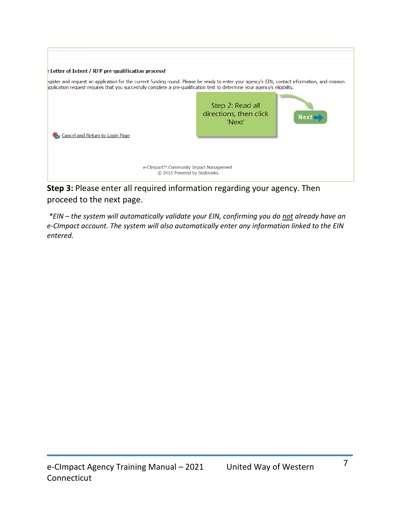| : Letter of Intent / RFP pre-qualification process!                                                                                                                                                                                                                          |                                                      |             |  |
|------------------------------------------------------------------------------------------------------------------------------------------------------------------------------------------------------------------------------------------------------------------------------|------------------------------------------------------|-------------|--|
| egister and request an application for the current funding round. Please be ready to enter your agency's EIN, contact information, and mission<br>oplication request requires that you succesfully complete a pre-qualification test to determine your agency's eligibility. |                                                      |             |  |
| Cancel and Return to Login Page                                                                                                                                                                                                                                              | Step 2: Read all<br>directions, then click<br>'Next' | <b>Next</b> |  |
| e-CImpact™ Community Impact Management<br>© 2015 Powered by Seabrooks.                                                                                                                                                                                                       |                                                      |             |  |

**Step 3:** Please enter all required information regarding your agency. Then proceed to the next page.

*\*EIN – the system will automatically validate your EIN, confirming you do not already have an e-CImpact account. The system will also automatically enter any information linked to the EIN entered.*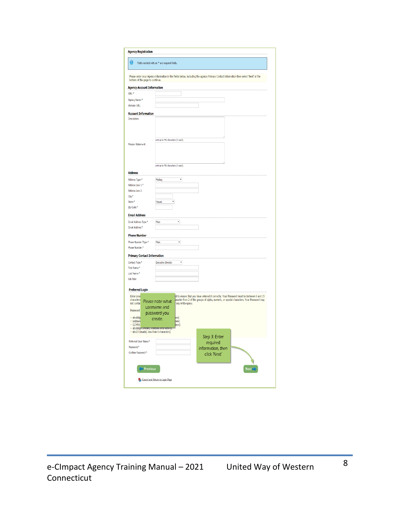| bottom of the page to continue.                                                        | Please enter your Agency information in the fields below, including the agency Primary Contact information then select 'Next' at the                                                                                                        |
|----------------------------------------------------------------------------------------|---------------------------------------------------------------------------------------------------------------------------------------------------------------------------------------------------------------------------------------------|
| <b>Agency Account Information</b>                                                      |                                                                                                                                                                                                                                             |
| EIN: *                                                                                 |                                                                                                                                                                                                                                             |
| Agency Name:*                                                                          |                                                                                                                                                                                                                                             |
| Website URL:                                                                           |                                                                                                                                                                                                                                             |
| <b>Account Information</b><br>Description:                                             |                                                                                                                                                                                                                                             |
|                                                                                        |                                                                                                                                                                                                                                             |
| <b>Mission Statement:</b>                                                              | Limit up to 750 characters (0 used).                                                                                                                                                                                                        |
|                                                                                        |                                                                                                                                                                                                                                             |
| <b>Address</b>                                                                         | Limit up to 750 characters (0 used).                                                                                                                                                                                                        |
| Address Type:*                                                                         | Maling<br>,                                                                                                                                                                                                                                 |
| Address Line 1:*                                                                       |                                                                                                                                                                                                                                             |
| Address Line 2:                                                                        |                                                                                                                                                                                                                                             |
| $C$ ity: $*$<br>State:*                                                                | V<br>Hawaii                                                                                                                                                                                                                                 |
| Zip Code:*                                                                             |                                                                                                                                                                                                                                             |
|                                                                                        |                                                                                                                                                                                                                                             |
| <b>Email Address</b>                                                                   |                                                                                                                                                                                                                                             |
| Email Address Type:*                                                                   | 7<br>Main                                                                                                                                                                                                                                   |
| Email Address:*                                                                        |                                                                                                                                                                                                                                             |
| <b>Phone Number</b>                                                                    |                                                                                                                                                                                                                                             |
| Phone Number Type:*                                                                    | Main<br>۰,                                                                                                                                                                                                                                  |
| Phone Number:*                                                                         |                                                                                                                                                                                                                                             |
| <b>Primary Contact Information</b>                                                     |                                                                                                                                                                                                                                             |
| Contact Type:*                                                                         | <b>Executive Director</b><br>,                                                                                                                                                                                                              |
| First Name:*                                                                           |                                                                                                                                                                                                                                             |
| Last Name:*                                                                            |                                                                                                                                                                                                                                             |
| <b>Job Title:</b>                                                                      |                                                                                                                                                                                                                                             |
|                                                                                        |                                                                                                                                                                                                                                             |
| <b>Preferred Login</b>                                                                 |                                                                                                                                                                                                                                             |
| Enter your<br>characters<br>not contai                                                 | rd to ensure that you have entered it correctly. Your Password must be between 6 and 15<br>aracter from 2 of the groups of alpha, numeric, or special characters. Your Password may<br>Please note what<br>any white-space.<br>username and |
| Password                                                                               | password you                                                                                                                                                                                                                                |
| -- abcdefg<br>-- pa\$\$wo<br>$-123456$<br>-- abcdefgh (invalid, contains only letters) | ers)<br>create.<br>bers)<br>bers)                                                                                                                                                                                                           |
| -- abc23 (invalid, less than 6 characters)                                             |                                                                                                                                                                                                                                             |
| Preferred User Name:*                                                                  | Step 3: Enter                                                                                                                                                                                                                               |
| Password- <sup>8</sup>                                                                 | required<br>information, then                                                                                                                                                                                                               |
| Confirm Password-*                                                                     | click 'Next'                                                                                                                                                                                                                                |
|                                                                                        |                                                                                                                                                                                                                                             |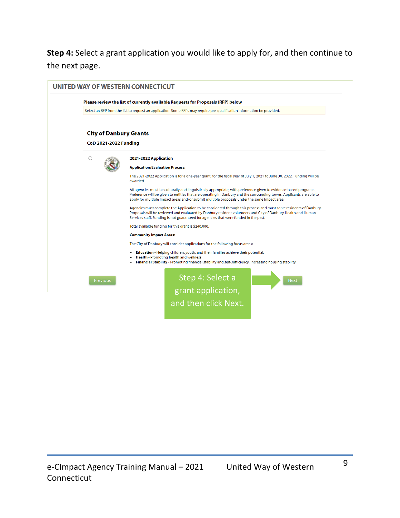**Step 4:** Select a grant application you would like to apply for, and then continue to the next page.

|                               | Please review the list of currently available Requests for Proposals (RFP) below                                                                                                                                                                                                                                                          |
|-------------------------------|-------------------------------------------------------------------------------------------------------------------------------------------------------------------------------------------------------------------------------------------------------------------------------------------------------------------------------------------|
|                               | Select an RFP from the list to request an application. Some RFPs may require pre-qualification information be provided.                                                                                                                                                                                                                   |
| <b>City of Danbury Grants</b> |                                                                                                                                                                                                                                                                                                                                           |
| <b>CoD 2021-2022 Funding</b>  |                                                                                                                                                                                                                                                                                                                                           |
| O                             | 2021-2022 Application                                                                                                                                                                                                                                                                                                                     |
|                               | <b>Application/Evaluation Process:</b>                                                                                                                                                                                                                                                                                                    |
|                               | The 2021-2022 Application is for a one-year grant, for the fiscal year of July 1, 2021 to June 30, 2022. Funding will be<br>awarded                                                                                                                                                                                                       |
|                               | All agencies must be culturally and linguistically appropriate, with preference given to evidence-based programs.<br>Preference will be given to entities that are operating in Danbury and the surrounding towns. Applicants are able to<br>apply for multiple impact areas and/or submit multiple proposals under the same impact area. |
|                               | Agencies must complete the Application to be considered through this process and must serve residents of Danbury.<br>Proposals will be reviewed and evaluated by Danbury resident volunteers and City of Danbury Health and Human<br>Services staff. Funding is not guaranteed for agencies that were funded in the past.                 |
|                               | Total available funding for this grant is \$240,000.                                                                                                                                                                                                                                                                                      |
|                               | <b>Community Impact Areas:</b>                                                                                                                                                                                                                                                                                                            |
|                               | The City of Danbury will consider applications for the following focus areas:                                                                                                                                                                                                                                                             |
|                               | <b>Education</b> - Helping children, youth, and their families achieve their potential.<br><b>Health</b> - Promoting health and wellness<br>Financial Stability - Promoting financial stability and self-sufficiency; increasing housing stability                                                                                        |
| <b>Previous</b>               | Step 4: Select a<br><b>Next</b>                                                                                                                                                                                                                                                                                                           |
|                               | grant application,                                                                                                                                                                                                                                                                                                                        |
|                               |                                                                                                                                                                                                                                                                                                                                           |
|                               | and then click Next.                                                                                                                                                                                                                                                                                                                      |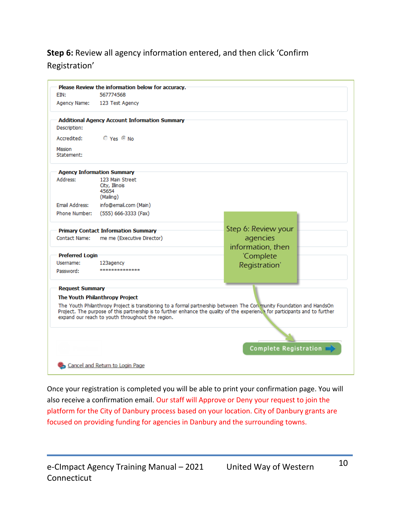#### **Step 6:** Review all agency information entered, and then click 'Confirm Registration'

| EIN:                                                                                                                                                                                                                                                                                                                                        | Please Review the information below for accuracy.<br>567774568 |                     |  |  |
|---------------------------------------------------------------------------------------------------------------------------------------------------------------------------------------------------------------------------------------------------------------------------------------------------------------------------------------------|----------------------------------------------------------------|---------------------|--|--|
| Agency Name:                                                                                                                                                                                                                                                                                                                                | 123 Test Agency                                                |                     |  |  |
|                                                                                                                                                                                                                                                                                                                                             |                                                                |                     |  |  |
| Description:                                                                                                                                                                                                                                                                                                                                | <b>Additional Agency Account Information Summary</b>           |                     |  |  |
| Accredited:                                                                                                                                                                                                                                                                                                                                 | $OYes$ Mo                                                      |                     |  |  |
| Mission<br>Statement:                                                                                                                                                                                                                                                                                                                       |                                                                |                     |  |  |
|                                                                                                                                                                                                                                                                                                                                             | <b>Agency Information Summary</b>                              |                     |  |  |
| Address:                                                                                                                                                                                                                                                                                                                                    | 123 Main Street<br>City, Illinois<br>45654<br>(Mailing)        |                     |  |  |
| Email Address:                                                                                                                                                                                                                                                                                                                              | info@email.com (Main)                                          |                     |  |  |
| Phone Number:                                                                                                                                                                                                                                                                                                                               | (555) 666-3333 (Fax)                                           |                     |  |  |
|                                                                                                                                                                                                                                                                                                                                             | <b>Primary Contact Information Summary</b>                     | Step 6: Review your |  |  |
| Contact Name:                                                                                                                                                                                                                                                                                                                               | me me (Executive Director)                                     | agencies            |  |  |
|                                                                                                                                                                                                                                                                                                                                             |                                                                | information, then   |  |  |
| <b>Preferred Login</b>                                                                                                                                                                                                                                                                                                                      |                                                                | 'Complete           |  |  |
| Username:                                                                                                                                                                                                                                                                                                                                   | 123agency                                                      | Registration'       |  |  |
| Password:                                                                                                                                                                                                                                                                                                                                   |                                                                |                     |  |  |
|                                                                                                                                                                                                                                                                                                                                             |                                                                |                     |  |  |
| <b>Request Summary</b>                                                                                                                                                                                                                                                                                                                      |                                                                |                     |  |  |
| The Youth Philanthropy Project<br>The Youth Philanthropy Project is transitioning to a formal partnership between The Con munity Foundation and HandsOn<br>Project. The purpose of this partnership is to further enhance the quality of the experience for participants and to further<br>expand our reach to youth throughout the region. |                                                                |                     |  |  |
|                                                                                                                                                                                                                                                                                                                                             |                                                                |                     |  |  |
|                                                                                                                                                                                                                                                                                                                                             |                                                                |                     |  |  |
|                                                                                                                                                                                                                                                                                                                                             | <b>Complete Registration</b>                                   |                     |  |  |
|                                                                                                                                                                                                                                                                                                                                             | Cancel and Return to Login Page                                |                     |  |  |

Once your registration is completed you will be able to print your confirmation page. You will also receive a confirmation email. Our staff will Approve or Deny your request to join the platform for the City of Danbury process based on your location. City of Danbury grants are focused on providing funding for agencies in Danbury and the surrounding towns.